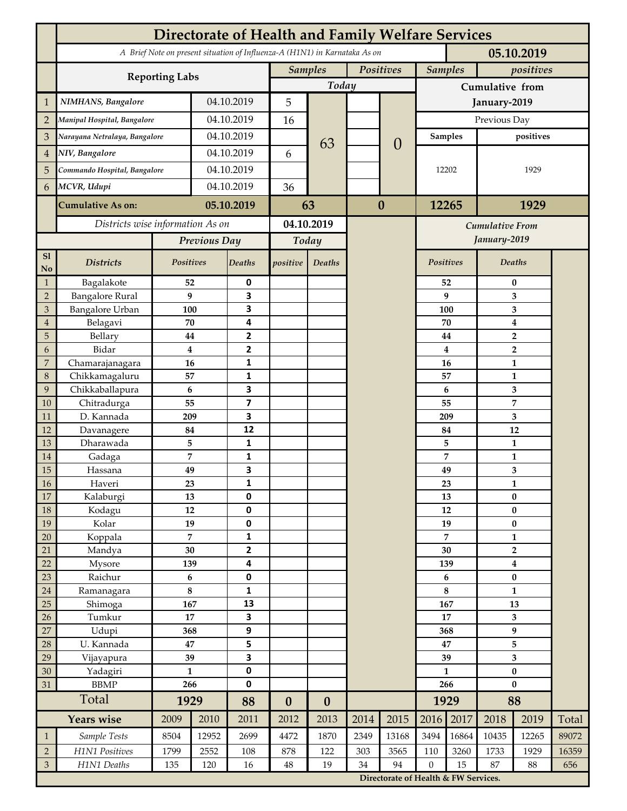|                | <b>Directorate of Health and Family Welfare Services</b>                                 |                |              |                         |                  |                  |           |                                      |                  |                                        |                                  |                  |       |  |
|----------------|------------------------------------------------------------------------------------------|----------------|--------------|-------------------------|------------------|------------------|-----------|--------------------------------------|------------------|----------------------------------------|----------------------------------|------------------|-------|--|
|                | A Brief Note on present situation of Influenza-A (H1N1) in Karnataka As on<br>05.10.2019 |                |              |                         |                  |                  |           |                                      |                  |                                        |                                  |                  |       |  |
|                | <b>Reporting Labs</b>                                                                    |                |              |                         | <b>Samples</b>   |                  | Positives |                                      |                  | <b>Samples</b>                         |                                  | positives        |       |  |
|                |                                                                                          |                |              |                         | Today            |                  |           |                                      | Cumulative from  |                                        |                                  |                  |       |  |
| $\mathbf{1}$   | NIMHANS, Bangalore                                                                       | 04.10.2019     |              | 5                       |                  |                  |           | January-2019                         |                  |                                        |                                  |                  |       |  |
| $\overline{2}$ | Manipal Hospital, Bangalore                                                              |                |              | 04.10.2019              |                  |                  |           |                                      | Previous Day     |                                        |                                  |                  |       |  |
| 3              | Narayana Netralaya, Bangalore                                                            |                |              | 04.10.2019              |                  |                  |           |                                      | Samples          |                                        | positives                        |                  |       |  |
| $\overline{4}$ | NIV, Bangalore                                                                           |                |              | 04.10.2019              |                  | 63               |           | $\theta$                             |                  |                                        |                                  |                  |       |  |
| 5              | Commando Hospital, Bangalore                                                             |                | 04.10.2019   |                         | 6                |                  |           |                                      | 12202            |                                        | 1929                             |                  |       |  |
| 6              | MCVR, Udupi                                                                              |                | 04.10.2019   |                         | 36               |                  |           |                                      |                  |                                        |                                  |                  |       |  |
|                | <b>Cumulative As on:</b>                                                                 |                |              | 05.10.2019              |                  |                  | $\bf{0}$  |                                      | 12265            |                                        | 1929                             |                  |       |  |
|                |                                                                                          |                |              | 63                      |                  |                  |           |                                      |                  |                                        |                                  |                  |       |  |
|                | Districts wise information As on                                                         |                |              | 04.10.2019              |                  |                  |           |                                      |                  | <b>Cumulative From</b><br>January-2019 |                                  |                  |       |  |
|                |                                                                                          |                | Previous Day |                         | Today            |                  |           |                                      |                  |                                        |                                  |                  |       |  |
| S1<br>No       | <b>Districts</b>                                                                         | Positives      |              | Deaths                  | positive         | Deaths           |           |                                      | Positives        |                                        |                                  | Deaths           |       |  |
| $\mathbf{1}$   | Bagalakote                                                                               | 52             |              | 0                       |                  |                  |           |                                      |                  | 52                                     | $\bf{0}$                         |                  |       |  |
| $\overline{2}$ | <b>Bangalore Rural</b>                                                                   | 9              |              | 3                       |                  |                  |           |                                      | 9                | 3                                      |                                  |                  |       |  |
| 3              | Bangalore Urban                                                                          | 100            |              | 3                       |                  |                  |           |                                      | 100              |                                        |                                  | 3                |       |  |
| $\overline{4}$ | Belagavi                                                                                 | 70             |              | 4                       |                  |                  |           |                                      |                  | 70                                     |                                  | $\boldsymbol{4}$ |       |  |
| 5              | Bellary                                                                                  | 44<br>$\bf{4}$ |              | 2                       |                  |                  |           |                                      |                  | 44                                     |                                  | $\overline{2}$   |       |  |
| 6              | Bidar                                                                                    |                |              | $\mathbf{2}$            |                  |                  |           |                                      |                  | 4                                      |                                  | $\overline{2}$   |       |  |
| 7              | Chamarajanagara<br>Chikkamagaluru                                                        | 16             |              | 1<br>1                  |                  |                  |           |                                      |                  | 16<br>57                               |                                  | 1<br>1           |       |  |
| 8<br>9         | Chikkaballapura                                                                          | 57<br>6        |              | 3                       |                  |                  |           |                                      |                  | 6                                      |                                  | 3                |       |  |
| 10             | Chitradurga                                                                              | 55             |              | $\overline{\mathbf{z}}$ |                  |                  |           |                                      |                  | 55                                     |                                  | 7                |       |  |
| 11             | D. Kannada                                                                               | 209            |              | 3                       |                  |                  |           |                                      |                  | 209                                    |                                  | 3                |       |  |
| 12             | Davanagere                                                                               | 84             |              | 12                      |                  |                  |           |                                      |                  | 84                                     |                                  | 12               |       |  |
| 13             | Dharawada                                                                                | 5              |              | $\mathbf{1}$            |                  |                  |           |                                      |                  | 5                                      |                                  | $\mathbf{1}$     |       |  |
| 14             | Gadaga                                                                                   | 7              |              | 1                       |                  |                  |           |                                      |                  | 7                                      |                                  | 1                |       |  |
| 15             | Hassana                                                                                  | 49             |              | 3                       |                  |                  |           |                                      |                  | 49                                     |                                  | 3                |       |  |
| <b>16</b>      | Haveri                                                                                   | 23             |              | 1                       |                  |                  |           |                                      |                  | 23                                     | 1                                |                  |       |  |
| 17             | Kalaburgi                                                                                | 13             |              | 0                       |                  |                  |           |                                      |                  | 13                                     | $\pmb{0}$                        |                  |       |  |
| 18             | Kodagu                                                                                   | 12             |              | $\pmb{0}$               |                  |                  |           |                                      |                  | 12                                     |                                  | $\pmb{0}$        |       |  |
| 19             | Kolar                                                                                    | 19             |              | 0                       |                  |                  |           |                                      |                  | 19                                     |                                  | $\pmb{0}$        |       |  |
| 20             | Koppala                                                                                  | $\overline{7}$ |              | 1                       |                  |                  |           |                                      |                  | 7<br>30                                |                                  | $\mathbf{1}$     |       |  |
| 21<br>22       | Mandya                                                                                   | $30\,$<br>139  |              | 2<br>4                  |                  |                  |           |                                      |                  |                                        | $\mathbf{2}$<br>$\boldsymbol{4}$ |                  |       |  |
| 23             | Mysore<br>Raichur                                                                        | $\bf 6$        |              | $\pmb{0}$               |                  |                  |           |                                      | 139<br>6         |                                        | $\pmb{0}$                        |                  |       |  |
| $24\,$         | Ramanagara                                                                               | 8              |              | 1                       |                  |                  |           |                                      | 8                |                                        | $\mathbf{1}$                     |                  |       |  |
| 25             | Shimoga                                                                                  | 167            |              | 13                      |                  |                  |           |                                      |                  | 167                                    |                                  | 13               |       |  |
| 26             | Tumkur                                                                                   | 17             |              | 3                       |                  |                  |           |                                      | 17               |                                        | 3                                |                  |       |  |
| 27             | Udupi                                                                                    | 368            |              | 9                       |                  |                  |           |                                      | 368              |                                        | 9                                |                  |       |  |
| 28             | U. Kannada                                                                               | 47             |              | 5                       |                  |                  |           |                                      | 47               |                                        | 5                                |                  |       |  |
| 29             | Vijayapura                                                                               | 39             |              | 3                       |                  |                  |           |                                      | 39               |                                        | $\overline{\mathbf{3}}$          |                  |       |  |
| 30             | Yadagiri                                                                                 | $\mathbf{1}$   |              | 0                       |                  |                  |           |                                      | $\mathbf{1}$     |                                        | $\pmb{0}$                        |                  |       |  |
| 31             | <b>BBMP</b>                                                                              |                | 266          |                         |                  |                  |           |                                      | 266              |                                        | $\bf{0}$                         |                  |       |  |
|                | Total                                                                                    | 1929           |              | 88                      | $\boldsymbol{0}$ | $\boldsymbol{0}$ |           |                                      |                  | 1929                                   |                                  | 88               |       |  |
|                | <b>Years wise</b>                                                                        | 2009           | 2010         | 2011                    | 2012             | 2013             | 2014      | 2015                                 | 2016             | 2017                                   | 2018                             | 2019             | Total |  |
| $\mathbf{1}$   | Sample Tests                                                                             | 8504           | 12952        | 2699                    | 4472             | 1870             | 2349      | 13168                                | 3494             | 16864                                  | 10435                            | 12265            | 89072 |  |
| $\overline{2}$ | H1N1 Positives                                                                           | 1799           | 2552         | 108                     | 878              | 122              | 303       | 3565                                 | 110              | 3260                                   | 1733                             | 1929             | 16359 |  |
| $\mathfrak{Z}$ | H1N1 Deaths                                                                              | 135            | 120          | 16                      | $48\,$           | 19               | 34        | 94                                   | $\boldsymbol{0}$ | 15                                     | 87                               | 88               | 656   |  |
|                |                                                                                          |                |              |                         |                  |                  |           | Directorate of Health & FW Services. |                  |                                        |                                  |                  |       |  |